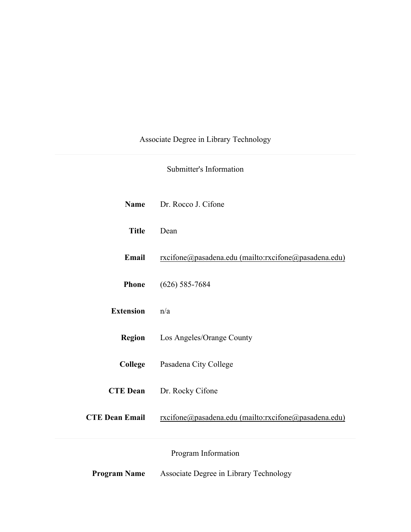# Associate Degree in Library Technology

# Submitter's Information

| <b>Name</b>           | Dr. Rocco J. Cifone                                  |
|-----------------------|------------------------------------------------------|
| <b>Title</b>          | Dean                                                 |
| Email                 | rxcifone@pasadena.edu (mailto:rxcifone@pasadena.edu) |
| <b>Phone</b>          | $(626)$ 585-7684                                     |
| <b>Extension</b>      | n/a                                                  |
| <b>Region</b>         | Los Angeles/Orange County                            |
| College               | Pasadena City College                                |
| <b>CTE Dean</b>       | Dr. Rocky Cifone                                     |
| <b>CTE Dean Email</b> | rxcifone@pasadena.edu (mailto:rxcifone@pasadena.edu) |
|                       | Program Information                                  |
| <b>Program Name</b>   | Associate Degree in Library Technology               |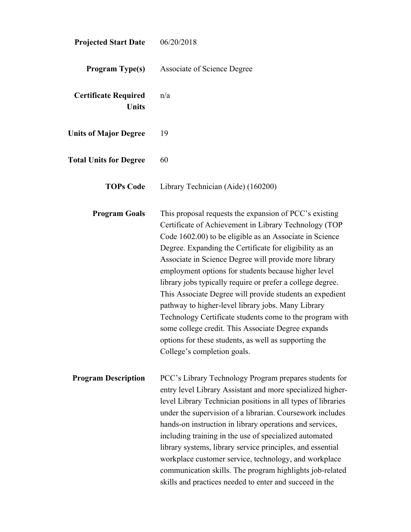| <b>Projected Start Date</b>                 | 06/20/2018                                                                                                                                                                                                                                                                                                                                                                                                                                                                                                                                                                                                                                                                                                                                       |
|---------------------------------------------|--------------------------------------------------------------------------------------------------------------------------------------------------------------------------------------------------------------------------------------------------------------------------------------------------------------------------------------------------------------------------------------------------------------------------------------------------------------------------------------------------------------------------------------------------------------------------------------------------------------------------------------------------------------------------------------------------------------------------------------------------|
| <b>Program Type(s)</b>                      | <b>Associate of Science Degree</b>                                                                                                                                                                                                                                                                                                                                                                                                                                                                                                                                                                                                                                                                                                               |
| <b>Certificate Required</b><br><b>Units</b> | n/a                                                                                                                                                                                                                                                                                                                                                                                                                                                                                                                                                                                                                                                                                                                                              |
| <b>Units of Major Degree</b>                | 19                                                                                                                                                                                                                                                                                                                                                                                                                                                                                                                                                                                                                                                                                                                                               |
| <b>Total Units for Degree</b>               | 60                                                                                                                                                                                                                                                                                                                                                                                                                                                                                                                                                                                                                                                                                                                                               |
| <b>TOPs Code</b>                            | Library Technician (Aide) (160200)                                                                                                                                                                                                                                                                                                                                                                                                                                                                                                                                                                                                                                                                                                               |
| <b>Program Goals</b>                        | This proposal requests the expansion of PCC's existing<br>Certificate of Achievement in Library Technology (TOP<br>Code 1602.00) to be eligible as an Associate in Science<br>Degree. Expanding the Certificate for eligibility as an<br>Associate in Science Degree will provide more library<br>employment options for students because higher level<br>library jobs typically require or prefer a college degree.<br>This Associate Degree will provide students an expedient<br>pathway to higher-level library jobs. Many Library<br>Technology Certificate students come to the program with<br>some college credit. This Associate Degree expands<br>options for these students, as well as supporting the<br>College's completion goals. |
| <b>Program Description</b>                  | PCC's Library Technology Program prepares students for<br>entry level Library Assistant and more specialized higher-<br>level Library Technician positions in all types of libraries<br>under the supervision of a librarian. Coursework includes<br>hands-on instruction in library operations and services,<br>including training in the use of specialized automated<br>library systems, library service principles, and essential<br>workplace customer service, technology, and workplace<br>communication skills. The program highlights job-related<br>skills and practices needed to enter and succeed in the                                                                                                                            |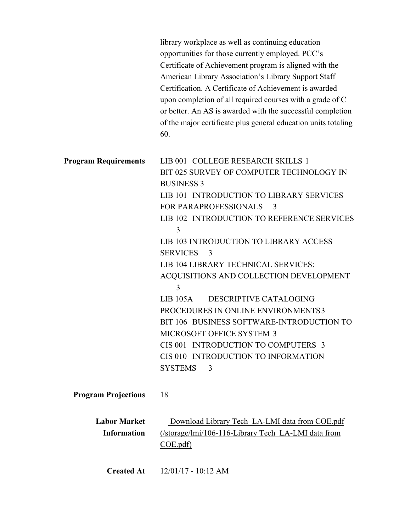|                                           | library workplace as well as continuing education<br>opportunities for those currently employed. PCC's<br>Certificate of Achievement program is aligned with the<br>American Library Association's Library Support Staff<br>Certification. A Certificate of Achievement is awarded<br>upon completion of all required courses with a grade of C<br>or better. An AS is awarded with the successful completion<br>of the major certificate plus general education units totaling<br>60. |
|-------------------------------------------|----------------------------------------------------------------------------------------------------------------------------------------------------------------------------------------------------------------------------------------------------------------------------------------------------------------------------------------------------------------------------------------------------------------------------------------------------------------------------------------|
| <b>Program Requirements</b>               | LIB 001 COLLEGE RESEARCH SKILLS 1<br>BIT 025 SURVEY OF COMPUTER TECHNOLOGY IN<br><b>BUSINESS 3</b><br>LIB 101 INTRODUCTION TO LIBRARY SERVICES<br><b>FOR PARAPROFESSIONALS</b><br>3<br>LIB 102 INTRODUCTION TO REFERENCE SERVICES<br>3<br><b>LIB 103 INTRODUCTION TO LIBRARY ACCESS</b>                                                                                                                                                                                                |
|                                           | <b>SERVICES</b><br>3<br>LIB 104 LIBRARY TECHNICAL SERVICES:<br>ACQUISITIONS AND COLLECTION DEVELOPMENT<br>3<br>$LIB$ 105A<br>DESCRIPTIVE CATALOGING<br>PROCEDURES IN ONLINE ENVIRONMENTS3<br>BIT 106 BUSINESS SOFTWARE-INTRODUCTION TO<br><b>MICROSOFT OFFICE SYSTEM 3</b><br>CIS 001 INTRODUCTION TO COMPUTERS 3<br>CIS 010 INTRODUCTION TO INFORMATION<br><b>SYSTEMS</b><br>3                                                                                                        |
| <b>Program Projections</b>                | 18                                                                                                                                                                                                                                                                                                                                                                                                                                                                                     |
| <b>Labor Market</b><br><b>Information</b> | Download Library Tech LA-LMI data from COE.pdf<br>(/storage/lmi/106-116-Library Tech LA-LMI data from<br>COE.pdf                                                                                                                                                                                                                                                                                                                                                                       |
| <b>Created At</b>                         | $12/01/17 - 10:12$ AM                                                                                                                                                                                                                                                                                                                                                                                                                                                                  |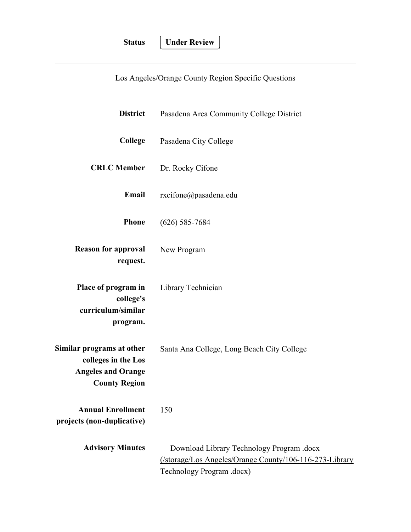**Under Review** 

Los Angeles/Orange County Region Specific Questions

| <b>District</b>                                                                                       | Pasadena Area Community College District                                                                                          |
|-------------------------------------------------------------------------------------------------------|-----------------------------------------------------------------------------------------------------------------------------------|
| College                                                                                               | Pasadena City College                                                                                                             |
| <b>CRLC</b> Member                                                                                    | Dr. Rocky Cifone                                                                                                                  |
| Email                                                                                                 | rxcifone@pasadena.edu                                                                                                             |
| <b>Phone</b>                                                                                          | $(626)$ 585-7684                                                                                                                  |
| <b>Reason for approval</b><br>request.                                                                | New Program                                                                                                                       |
| Place of program in<br>college's<br>curriculum/similar<br>program.                                    | Library Technician                                                                                                                |
| Similar programs at other<br>colleges in the Los<br><b>Angeles and Orange</b><br><b>County Region</b> | Santa Ana College, Long Beach City College                                                                                        |
| Annual Enrollment<br>projects (non-duplicative)                                                       | 150                                                                                                                               |
| <b>Advisory Minutes</b>                                                                               | Download Library Technology Program .docx<br>(/storage/Los Angeles/Orange County/106-116-273-Library<br>Technology Program .docx) |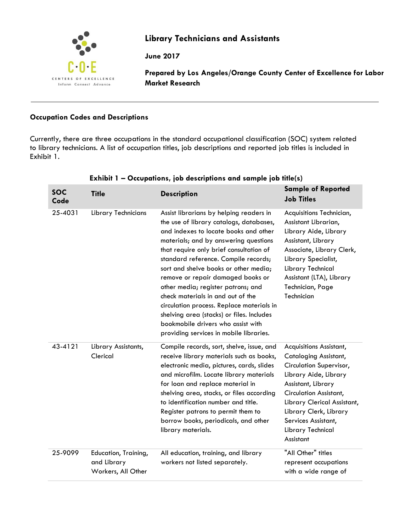

# **Library Technicians and Assistants**

**June 2017**

**Prepared by Los Angeles/Orange County Center of Excellence for Labor Market Research**

## **Occupation Codes and Descriptions**

Currently, there are three occupations in the standard occupational classification (SOC) system related to library technicians. A list of occupation titles, job descriptions and reported job titles is included in Exhibit 1.

| <b>SOC</b><br>Code | <b>Title</b>                                              | <b>Description</b>                                                                                                                                                                                                                                                                                                                                                                                                                                                                                                                                                                          | <b>Sample of Reported</b><br><b>Job Titles</b>                                                                                                                                                                                                                                |
|--------------------|-----------------------------------------------------------|---------------------------------------------------------------------------------------------------------------------------------------------------------------------------------------------------------------------------------------------------------------------------------------------------------------------------------------------------------------------------------------------------------------------------------------------------------------------------------------------------------------------------------------------------------------------------------------------|-------------------------------------------------------------------------------------------------------------------------------------------------------------------------------------------------------------------------------------------------------------------------------|
| 25-4031            | <b>Library Technicians</b>                                | Assist librarians by helping readers in<br>the use of library catalogs, databases,<br>and indexes to locate books and other<br>materials; and by answering questions<br>that require only brief consultation of<br>standard reference. Compile records;<br>sort and shelve books or other media;<br>remove or repair damaged books or<br>other media; register patrons; and<br>check materials in and out of the<br>circulation process. Replace materials in<br>shelving area (stacks) or files. Includes<br>bookmobile drivers who assist with<br>providing services in mobile libraries. | Acquisitions Technician,<br>Assistant Librarian,<br>Library Aide, Library<br>Assistant, Library<br>Associate, Library Clerk,<br>Library Specialist,<br>Library Technical<br>Assistant (LTA), Library<br>Technician, Page<br>Technician                                        |
| 43-4121            | Library Assistants,<br>Clerical                           | Compile records, sort, shelve, issue, and<br>receive library materials such as books,<br>electronic media, pictures, cards, slides<br>and microfilm. Locate library materials<br>for loan and replace material in<br>shelving area, stacks, or files according<br>to identification number and title.<br>Register patrons to permit them to<br>borrow books, periodicals, and other<br>library materials.                                                                                                                                                                                   | Acquisitions Assistant,<br><b>Cataloging Assistant,</b><br>Circulation Supervisor,<br>Library Aide, Library<br>Assistant, Library<br>Circulation Assistant,<br>Library Clerical Assistant,<br>Library Clerk, Library<br>Services Assistant,<br>Library Technical<br>Assistant |
| 25-9099            | Education, Training,<br>and Library<br>Workers, All Other | All education, training, and library<br>workers not listed separately.                                                                                                                                                                                                                                                                                                                                                                                                                                                                                                                      | "All Other" titles<br>represent occupations<br>with a wide range of                                                                                                                                                                                                           |

# **Exhibit 1 – Occupations, job descriptions and sample job title(s)**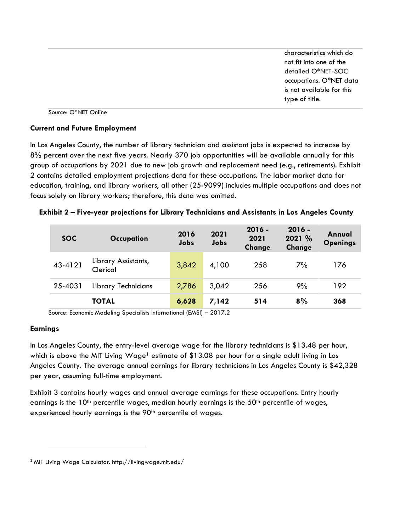characteristics which do not fit into one of the detailed O\*NET-SOC occupations. O\*NET data is not available for this type of title.

Source: O\*NET Online

#### **Current and Future Employment**

In Los Angeles County, the number of library technician and assistant jobs is expected to increase by 8% percent over the next five years. Nearly 370 job opportunities will be available annually for this group of occupations by 2021 due to new job growth and replacement need (e.g., retirements). Exhibit 2 contains detailed employment projections data for these occupations. The labor market data for education, training, and library workers, all other (25-9099) includes multiple occupations and does not focus solely on library workers; therefore, this data was omitted.

| <b>SOC</b> | Occupation                      | 2016<br>Jobs | 2021<br>Jobs | $2016 -$<br>2021<br>Change | $2016 -$<br>2021 %<br>Change | Annual<br><b>Openings</b> |
|------------|---------------------------------|--------------|--------------|----------------------------|------------------------------|---------------------------|
| 43-4121    | Library Assistants,<br>Clerical | 3,842        | 4,100        | 258                        | 7%                           | 176                       |
| 25-4031    | <b>Library Technicians</b>      | 2,786        | 3,042        | 256                        | 9%                           | 192                       |
|            | <b>TOTAL</b>                    | 6,628        | 7,142        | 514                        | 8%                           | 368                       |

**Exhibit 2 – Five-year projections for Library Technicians and Assistants in Los Angeles County**

Source: Economic Modeling Specialists International (EMSI) – 2017.2

#### **Earnings**

 $\overline{\phantom{a}}$ 

In Los Angeles County, the entry-level average wage for the library technicians is \$13.48 per hour, which is above the MIT Living Wage<sup>1</sup> estimate of \$13.08 per hour for a single adult living in Los Angeles County. The average annual earnings for library technicians in Los Angeles County is \$42,328 per year, assuming full-time employment.

Exhibit 3 contains hourly wages and annual average earnings for these occupations. Entry hourly earnings is the  $10<sup>th</sup>$  percentile wages, median hourly earnings is the  $50<sup>th</sup>$  percentile of wages, experienced hourly earnings is the 90<sup>th</sup> percentile of wages.

<sup>1</sup> MIT Living Wage Calculator. http://livingwage.mit.edu/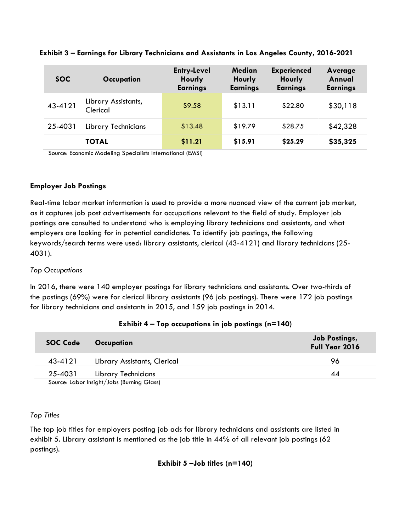| <b>SOC</b> | Occupation                      | <b>Entry-Level</b><br>Hourly<br><b>Earnings</b> | Median<br>Hourly<br><b>Earnings</b> | <b>Experienced</b><br>Hourly<br><b>Earnings</b> | Average<br>Annual<br><b>Earnings</b> |
|------------|---------------------------------|-------------------------------------------------|-------------------------------------|-------------------------------------------------|--------------------------------------|
| 43-4121    | Library Assistants,<br>Clerical | \$9.58                                          | \$13.11                             | \$22.80                                         | \$30,118                             |
| 25-4031    | <b>Library Technicians</b>      | \$13.48                                         | \$19.79                             | \$28.75                                         | \$42,328                             |
|            | <b>TOTAL</b>                    | \$11.21                                         | \$15.91                             | \$25.29                                         | \$35,325                             |

**Exhibit 3 – Earnings for Library Technicians and Assistants in Los Angeles County, 2016-2021**

Source: Economic Modeling Specialists International (EMSI)

## **Employer Job Postings**

Real-time labor market information is used to provide a more nuanced view of the current job market, as it captures job post advertisements for occupations relevant to the field of study. Employer job postings are consulted to understand who is employing library technicians and assistants, and what employers are looking for in potential candidates. To identify job postings, the following keywords/search terms were used: library assistants, clerical (43-4121) and library technicians (25- 4031).

## *Top Occupations*

In 2016, there were 140 employer postings for library technicians and assistants. Over two-thirds of the postings (69%) were for clerical library assistants (96 job postings). There were 172 job postings for library technicians and assistants in 2015, and 159 job postings in 2014.

| <b>SOC Code</b>                            | <b>Occupation</b>            | Job Postings,<br>Full Year 2016 |
|--------------------------------------------|------------------------------|---------------------------------|
| 43-4121                                    | Library Assistants, Clerical | 96                              |
| 25-4031                                    | Library Technicians          | 44                              |
| Source: Labor Insight/Jobs (Burning Glass) |                              |                                 |

#### **Exhibit 4 – Top occupations in job postings (n=140)**

#### *Top Titles*

The top job titles for employers posting job ads for library technicians and assistants are listed in exhibit 5. Library assistant is mentioned as the job title in 44% of all relevant job postings (62 postings).

## **Exhibit 5 –Job titles (n=140)**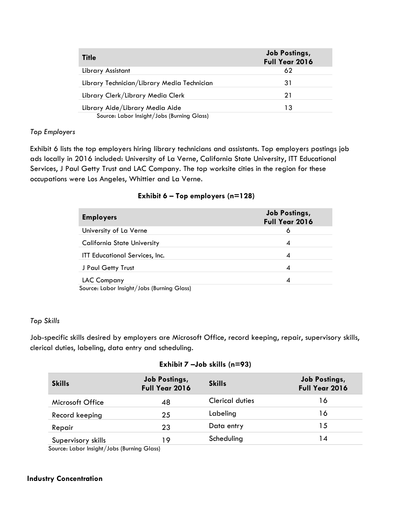| <b>Title</b>                                | <b>Job Postings,</b><br><b>Full Year 2016</b> |
|---------------------------------------------|-----------------------------------------------|
| Library Assistant                           | 62                                            |
| Library Technician/Library Media Technician | 31                                            |
| Library Clerk/Library Media Clerk           | 21                                            |
| Library Aide/Library Media Aide             | 13                                            |
| Source: Labor Insight/Jobs (Burning Glass)  |                                               |

## *Top Employers*

Exhibit 6 lists the top employers hiring library technicians and assistants. Top employers postings job ads locally in 2016 included: University of La Verne, California State University, ITT Educational Services, J Paul Getty Trust and LAC Company. The top worksite cities in the region for these occupations were Los Angeles, Whittier and La Verne.

## **Exhibit 6 – Top employers (n=128)**

| <b>Employers</b>                                                   | <b>Job Postings,</b><br>Full Year 2016 |
|--------------------------------------------------------------------|----------------------------------------|
| University of La Verne                                             | O                                      |
| <b>California State University</b>                                 | 4                                      |
| ITT Educational Services, Inc.                                     | 4                                      |
| J Paul Getty Trust                                                 | 4                                      |
| <b>LAC Company</b><br>Carmer Halen bestubt / Jaka / Drumten Clared | 4                                      |

Source: Labor Insight/Jobs (Burning Glass)

#### *Top Skills*

Job-specific skills desired by employers are Microsoft Office, record keeping, repair, supervisory skills, clerical duties, labeling, data entry and scheduling.

#### **Exhibit 7 –Job skills (n=93)**

| <b>Skills</b>                                | <b>Job Postings,</b><br>Full Year 2016 | <b>Skills</b>          | <b>Job Postings,</b><br>Full Year 2016 |
|----------------------------------------------|----------------------------------------|------------------------|----------------------------------------|
| Microsoft Office                             | 48                                     | <b>Clerical duties</b> | 16                                     |
| Record keeping                               | 25                                     | Labeling               | 16                                     |
| Repair                                       | 23                                     | Data entry             | 15                                     |
| Supervisory skills                           | 19                                     | Scheduling             | 14                                     |
| Source: Labor Insight / Jobs (Burning Glass) |                                        |                        |                                        |

Source: Labor Insight/Jobs (Burning Glass)

## **Industry Concentration**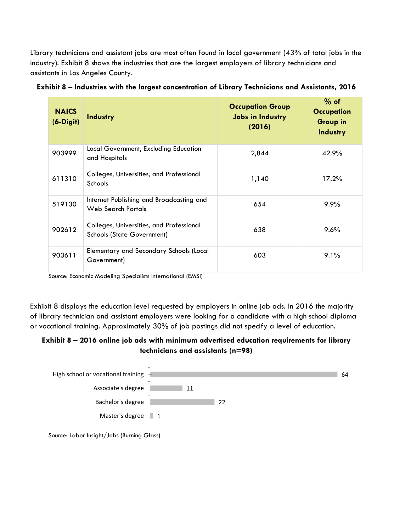Library technicians and assistant jobs are most often found in local government (43% of total jobs in the industry). Exhibit 8 shows the industries that are the largest employers of library technicians and assistants in Los Angeles County.

| <b>NAICS</b><br>$(6-Digit)$ | Industry                                                                      | <b>Occupation Group</b><br><b>Jobs in Industry</b><br>(2016) | $%$ of<br><b>Occupation</b><br><b>Group in</b><br>Industry |
|-----------------------------|-------------------------------------------------------------------------------|--------------------------------------------------------------|------------------------------------------------------------|
| 903999                      | Local Government, Excluding Education<br>and Hospitals                        | 2,844                                                        | 42.9%                                                      |
| 611310                      | Colleges, Universities, and Professional<br>Schools                           | 1,140                                                        | 17.2%                                                      |
| 519130                      | Internet Publishing and Broadcasting and<br>Web Search Portals                | 654                                                          | $9.9\%$                                                    |
| 902612                      | Colleges, Universities, and Professional<br><b>Schools (State Government)</b> | 638                                                          | 9.6%                                                       |
| 903611                      | Elementary and Secondary Schools (Local<br>Government)                        | 603                                                          | 9.1%                                                       |

**Exhibit 8 – Industries with the largest concentration of Library Technicians and Assistants, 2016**

Source: Economic Modeling Specialists International (EMSI)

Exhibit 8 displays the education level requested by employers in online job ads. In 2016 the majority of library technician and assistant employers were looking for a candidate with a high school diploma or vocational training. Approximately 30% of job postings did not specify a level of education.

## **Exhibit 8 – 2016 online job ads with minimum advertised education requirements for library technicians and assistants (n=98)**



Source: Labor Insight/Jobs (Burning Glass)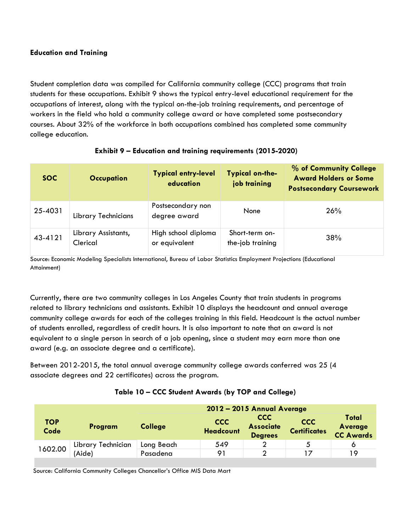## **Education and Training**

Student completion data was compiled for California community college (CCC) programs that train students for these occupations. Exhibit 9 shows the typical entry-level educational requirement for the occupations of interest, along with the typical on-the-job training requirements, and percentage of workers in the field who hold a community college award or have completed some postsecondary courses. About 32% of the workforce in both occupations combined has completed some community college education.

| SOC.    | <b>Occupation</b>               | <b>Typical entry-level</b><br>education | <b>Typical on-the-</b><br>job training | % of Community College<br><b>Award Holders or Some</b><br><b>Postsecondary Coursework</b> |
|---------|---------------------------------|-----------------------------------------|----------------------------------------|-------------------------------------------------------------------------------------------|
| 25-4031 | <b>Library Technicians</b>      | Postsecondary non<br>degree award       | None                                   | 26%                                                                                       |
| 43-4121 | Library Assistants,<br>Clerical | High school diploma<br>or equivalent    | Short-term on-<br>the-job training     | 38%                                                                                       |

## **Exhibit 9 – Education and training requirements (2015-2020)**

Source: Economic Modeling Specialists International, Bureau of Labor Statistics Employment Projections (Educational Attainment)

Currently, there are two community colleges in Los Angeles County that train students in programs related to library technicians and assistants. Exhibit 10 displays the headcount and annual average community college awards for each of the colleges training in this field. Headcount is the actual number of students enrolled, regardless of credit hours. It is also important to note that an award is not equivalent to a single person in search of a job opening, since a student may earn more than one award (e.g. an associate degree and a certificate).

Between 2012-2015, the total annual average community college awards conferred was 25 (4 associate degrees and 22 certificates) across the program.

## **Table 10 – CCC Student Awards (by TOP and College)**

|                    |                              | 2012 - 2015 Annual Average |                                |                                           |                                   |                                      |
|--------------------|------------------------------|----------------------------|--------------------------------|-------------------------------------------|-----------------------------------|--------------------------------------|
| <b>TOP</b><br>Code | Program                      | <b>College</b>             | <b>CCC</b><br><b>Headcount</b> | CCC<br><b>Associate</b><br><b>Degrees</b> | <b>CCC</b><br><b>Certificates</b> | Total<br>Average<br><b>CC Awards</b> |
| 602.00             | Library Technician<br>'Aide) | Long Beach                 | 549                            | ◠                                         |                                   |                                      |
|                    |                              | Pasadena                   | 91                             | ◠                                         |                                   | 19                                   |

Source: California Community Colleges Chancellor's Office MIS Data Mart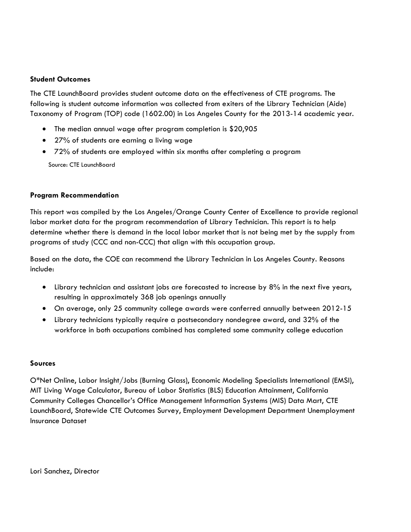#### **Student Outcomes**

The CTE LaunchBoard provides student outcome data on the effectiveness of CTE programs. The following is student outcome information was collected from exiters of the Library Technician (Aide) Taxonomy of Program (TOP) code (1602.00) in Los Angeles County for the 2013-14 academic year.

- The median annual wage after program completion is \$20,905
- 27% of students are earning a living wage
- 72% of students are employed within six months after completing a program

Source: CTE LaunchBoard

## **Program Recommendation**

This report was compiled by the Los Angeles/Orange County Center of Excellence to provide regional labor market data for the program recommendation of Library Technician. This report is to help determine whether there is demand in the local labor market that is not being met by the supply from programs of study (CCC and non-CCC) that align with this occupation group.

Based on the data, the COE can recommend the Library Technician in Los Angeles County. Reasons include:

- Library technician and assistant jobs are forecasted to increase by 8% in the next five years, resulting in approximately 368 job openings annually
- On average, only 25 community college awards were conferred annually between 2012-15
- Library technicians typically require a postsecondary nondegree award, and 32% of the workforce in both occupations combined has completed some community college education

#### **Sources**

O\*Net Online, Labor Insight/Jobs (Burning Glass), Economic Modeling Specialists International (EMSI), MIT Living Wage Calculator, Bureau of Labor Statistics (BLS) Education Attainment, California Community Colleges Chancellor's Office Management Information Systems (MIS) Data Mart, CTE LaunchBoard, Statewide CTE Outcomes Survey, Employment Development Department Unemployment Insurance Dataset

Lori Sanchez, Director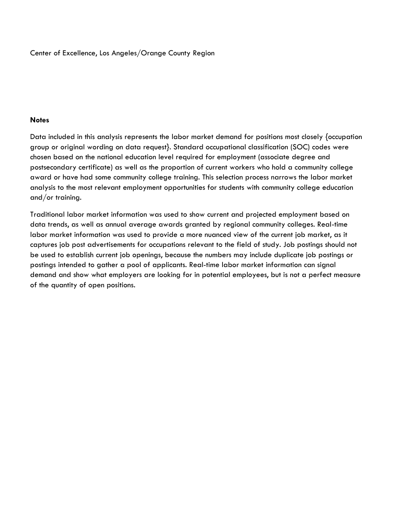Center of Excellence, Los Angeles/Orange County Region

#### **Notes**

Data included in this analysis represents the labor market demand for positions most closely {occupation group or original wording on data request}. Standard occupational classification (SOC) codes were chosen based on the national education level required for employment (associate degree and postsecondary certificate) as well as the proportion of current workers who hold a community college award or have had some community college training. This selection process narrows the labor market analysis to the most relevant employment opportunities for students with community college education and/or training.

Traditional labor market information was used to show current and projected employment based on data trends, as well as annual average awards granted by regional community colleges. Real-time labor market information was used to provide a more nuanced view of the current job market, as it captures job post advertisements for occupations relevant to the field of study. Job postings should not be used to establish current job openings, because the numbers may include duplicate job postings or postings intended to gather a pool of applicants. Real-time labor market information can signal demand and show what employers are looking for in potential employees, but is not a perfect measure of the quantity of open positions.